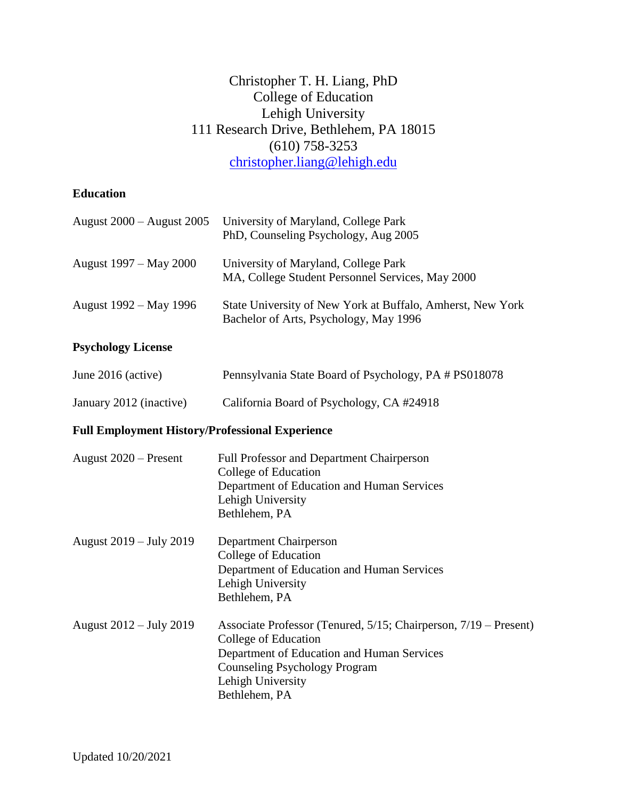# Christopher T. H. Liang, PhD College of Education Lehigh University 111 Research Drive, Bethlehem, PA 18015 (610) 758-3253 [christopher.liang@lehigh.edu](mailto:christopher.liang@lehigh.edu)

# **Education**

| August 2000 – August 2005                              | University of Maryland, College Park<br>PhD, Counseling Psychology, Aug 2005                                                                                                                                         |  |
|--------------------------------------------------------|----------------------------------------------------------------------------------------------------------------------------------------------------------------------------------------------------------------------|--|
| August 1997 - May 2000                                 | University of Maryland, College Park<br>MA, College Student Personnel Services, May 2000                                                                                                                             |  |
| August 1992 – May 1996                                 | State University of New York at Buffalo, Amherst, New York<br>Bachelor of Arts, Psychology, May 1996                                                                                                                 |  |
| <b>Psychology License</b>                              |                                                                                                                                                                                                                      |  |
| June 2016 (active)                                     | Pennsylvania State Board of Psychology, PA # PS018078                                                                                                                                                                |  |
| January 2012 (inactive)                                | California Board of Psychology, CA #24918                                                                                                                                                                            |  |
| <b>Full Employment History/Professional Experience</b> |                                                                                                                                                                                                                      |  |
| August $2020$ – Present                                | <b>Full Professor and Department Chairperson</b><br>College of Education<br>Department of Education and Human Services<br>Lehigh University<br>Bethlehem, PA                                                         |  |
| August 2019 – July 2019                                | Department Chairperson<br>College of Education<br>Department of Education and Human Services<br>Lehigh University<br>Bethlehem, PA                                                                                   |  |
| August 2012 - July 2019                                | Associate Professor (Tenured, 5/15; Chairperson, 7/19 – Present)<br>College of Education<br>Department of Education and Human Services<br><b>Counseling Psychology Program</b><br>Lehigh University<br>Bethlehem, PA |  |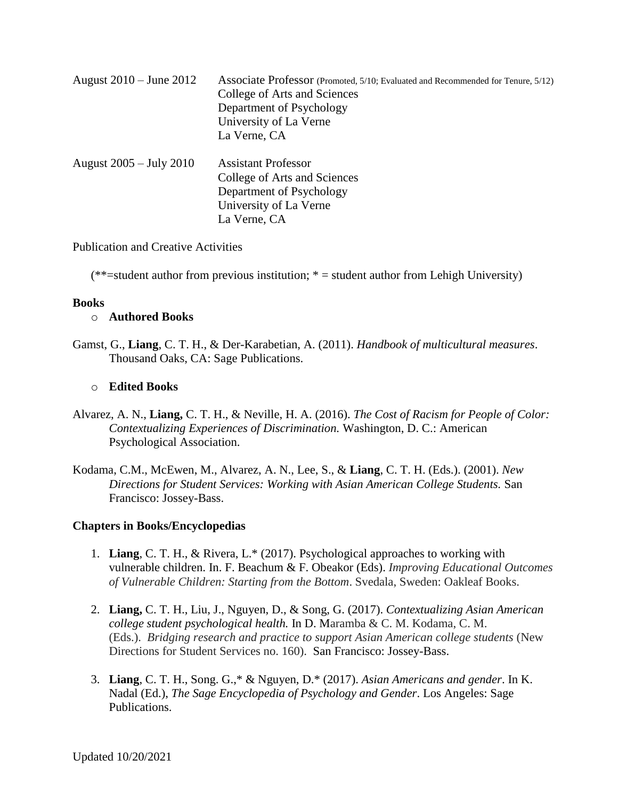| August 2010 – June 2012 | Associate Professor (Promoted, 5/10; Evaluated and Recommended for Tenure, 5/12) |  |
|-------------------------|----------------------------------------------------------------------------------|--|
|                         | College of Arts and Sciences                                                     |  |
|                         | Department of Psychology                                                         |  |
|                         | University of La Verne                                                           |  |
|                         | La Verne, CA                                                                     |  |
| August 2005 – July 2010 | <b>Assistant Professor</b>                                                       |  |
|                         | College of Arts and Sciences                                                     |  |
|                         | Department of Psychology                                                         |  |
|                         | University of La Verne                                                           |  |
|                         | La Verne, CA                                                                     |  |

Publication and Creative Activities

 $(**=student$  author from previous institution;  $*=student$  author from Lehigh University)

#### **Books**

#### o **Authored Books**

Gamst, G., **Liang**, C. T. H., & Der-Karabetian, A. (2011). *Handbook of multicultural measures*. Thousand Oaks, CA: Sage Publications.

### o **Edited Books**

- Alvarez, A. N., **Liang,** C. T. H., & Neville, H. A. (2016). *The Cost of Racism for People of Color: Contextualizing Experiences of Discrimination.* Washington, D. C.: American Psychological Association.
- Kodama, C.M., McEwen, M., Alvarez, A. N., Lee, S., & **Liang**, C. T. H. (Eds.). (2001). *New Directions for Student Services: Working with Asian American College Students.* San Francisco: Jossey-Bass.

#### **Chapters in Books/Encyclopedias**

- 1. **Liang**, C. T. H., & Rivera, L.\* (2017). Psychological approaches to working with vulnerable children. In. F. Beachum & F. Obeakor (Eds). *Improving Educational Outcomes of Vulnerable Children: Starting from the Bottom*. Svedala, Sweden: Oakleaf Books.
- 2. **Liang,** C. T. H., Liu, J., Nguyen, D., & Song, G. (2017). *Contextualizing Asian American college student psychological health.* In D. Maramba & C. M. Kodama, C. M. (Eds.). *Bridging research and practice to support Asian American college students* (New Directions for Student Services no. 160). San Francisco: Jossey-Bass.
- 3. **Liang**, C. T. H., Song. G.,\* & Nguyen, D.\* (2017). *Asian Americans and gender*. In K. Nadal (Ed.), *The Sage Encyclopedia of Psychology and Gender*. Los Angeles: Sage Publications.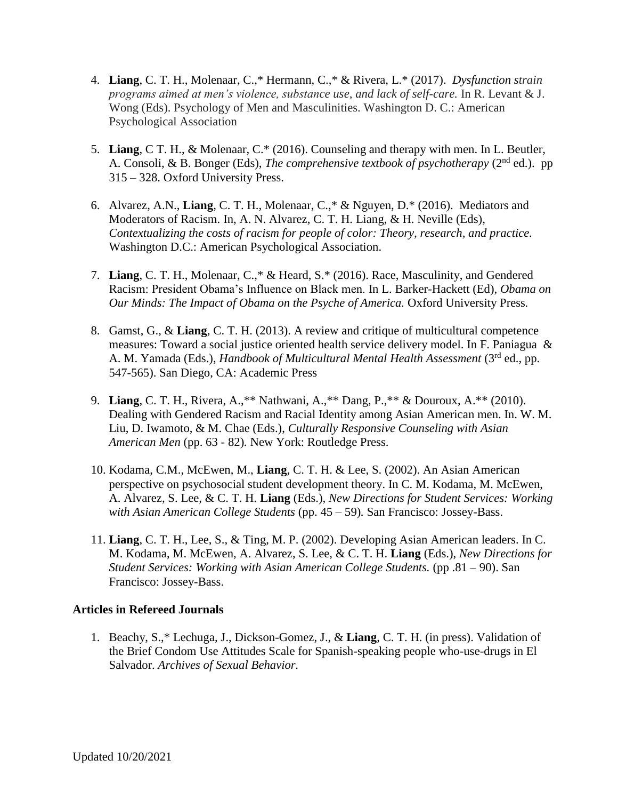- 4. **Liang**, C. T. H., Molenaar, C.,\* Hermann, C.,\* & Rivera, L.\* (2017). *Dysfunction strain programs aimed at men's violence, substance use, and lack of self-care.* In R. Levant & J. Wong (Eds). Psychology of Men and Masculinities. Washington D. C.: American Psychological Association
- 5. **Liang**, C T. H., & Molenaar, C.\* (2016). Counseling and therapy with men. In L. Beutler, A. Consoli, & B. Bonger (Eds), *The comprehensive textbook of psychotherapy* (2<sup>nd</sup> ed.). pp 315 – 328. Oxford University Press.
- 6. Alvarez, A.N., **Liang**, C. T. H., Molenaar, C.,\* & Nguyen, D.\* (2016). Mediators and Moderators of Racism. In, A. N. Alvarez, C. T. H. Liang, & H. Neville (Eds), *Contextualizing the costs of racism for people of color: Theory, research, and practice.* Washington D.C.: American Psychological Association.
- 7. **Liang**, C. T. H., Molenaar, C.,\* & Heard, S.\* (2016). Race, Masculinity, and Gendered Racism: President Obama's Influence on Black men. In L. Barker-Hackett (Ed), *Obama on Our Minds: The Impact of Obama on the Psyche of America.* Oxford University Press*.*
- 8. Gamst, G., & **Liang**, C. T. H. (2013). A review and critique of multicultural competence measures: Toward a social justice oriented health service delivery model. In F. Paniagua & A. M. Yamada (Eds.), *Handbook of Multicultural Mental Health Assessment* (3<sup>rd</sup> ed., pp. 547-565). San Diego, CA: Academic Press
- 9. **Liang**, C. T. H., Rivera, A.,\*\* Nathwani, A.,\*\* Dang, P.,\*\* & Douroux, A.\*\* (2010). Dealing with Gendered Racism and Racial Identity among Asian American men. In. W. M. Liu, D. Iwamoto, & M. Chae (Eds.), *Culturally Responsive Counseling with Asian American Men* (pp. 63 - 82)*.* New York: Routledge Press.
- 10. Kodama, C.M., McEwen, M., **Liang**, C. T. H. & Lee, S. (2002). An Asian American perspective on psychosocial student development theory. In C. M. Kodama, M. McEwen, A. Alvarez, S. Lee, & C. T. H. **Liang** (Eds.), *New Directions for Student Services: Working with Asian American College Students* (pp. 45 – 59)*.* San Francisco: Jossey-Bass.
- 11. **Liang**, C. T. H., Lee, S., & Ting, M. P. (2002). Developing Asian American leaders. In C. M. Kodama, M. McEwen, A. Alvarez, S. Lee, & C. T. H. **Liang** (Eds.), *New Directions for Student Services: Working with Asian American College Students.* (pp .81 – 90). San Francisco: Jossey-Bass.

# **Articles in Refereed Journals**

1. Beachy, S.,\* Lechuga, J., Dickson-Gomez, J., & **Liang**, C. T. H. (in press). Validation of the Brief Condom Use Attitudes Scale for Spanish-speaking people who-use-drugs in El Salvador. *Archives of Sexual Behavior.*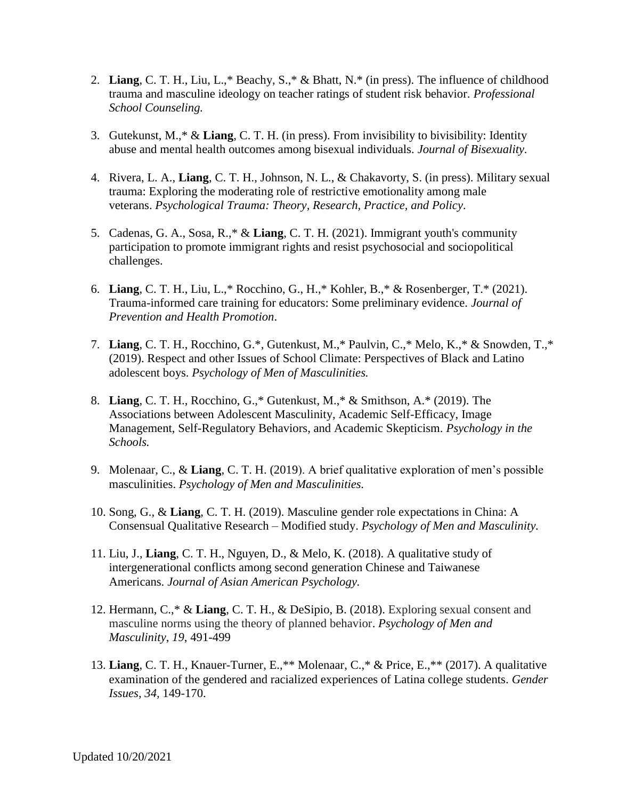- 2. **Liang**, C. T. H., Liu, L.,\* Beachy, S.,\* & Bhatt, N.\* (in press). The influence of childhood trauma and masculine ideology on teacher ratings of student risk behavior. *Professional School Counseling.*
- 3. Gutekunst, M.,\* & **Liang**, C. T. H. (in press). From invisibility to bivisibility: Identity abuse and mental health outcomes among bisexual individuals. *Journal of Bisexuality.*
- 4. Rivera, L. A., **Liang**, C. T. H., Johnson, N. L., & Chakavorty, S. (in press). Military sexual trauma: Exploring the moderating role of restrictive emotionality among male veterans. *Psychological Trauma: Theory, Research, Practice, and Policy*.
- 5. Cadenas, G. A., Sosa, R.,\* & **Liang**, C. T. H. (2021). Immigrant youth's community participation to promote immigrant rights and resist psychosocial and sociopolitical challenges.
- 6. **Liang**, C. T. H., Liu, L.,\* Rocchino, G., H.,\* Kohler, B.,\* & Rosenberger, T.\* (2021). Trauma-informed care training for educators: Some preliminary evidence. *Journal of Prevention and Health Promotion*.
- 7. **Liang**, C. T. H., Rocchino, G.\*, Gutenkust, M.,\* Paulvin, C.,\* Melo, K.,\* & Snowden, T.,\* (2019). Respect and other Issues of School Climate: Perspectives of Black and Latino adolescent boys. *Psychology of Men of Masculinities.*
- 8. **Liang**, C. T. H., Rocchino, G.,\* Gutenkust, M.,\* & Smithson, A.\* (2019). The Associations between Adolescent Masculinity, Academic Self-Efficacy, Image Management, Self-Regulatory Behaviors, and Academic Skepticism. *Psychology in the Schools.*
- 9. Molenaar, C., & **Liang**, C. T. H. (2019). A brief qualitative exploration of men's possible masculinities. *Psychology of Men and Masculinities.*
- 10. Song, G., & **Liang**, C. T. H. (2019). Masculine gender role expectations in China: A Consensual Qualitative Research – Modified study. *Psychology of Men and Masculinity.*
- 11. Liu, J., **Liang**, C. T. H., Nguyen, D., & Melo, K. (2018). A qualitative study of intergenerational conflicts among second generation Chinese and Taiwanese Americans. *Journal of Asian American Psychology.*
- 12. Hermann, C.,\* & **Liang**, C. T. H., & DeSipio, B. (2018). Exploring sexual consent and masculine norms using the theory of planned behavior. *Psychology of Men and Masculinity*, *19*, 491-499
- 13. **Liang**, C. T. H., Knauer-Turner, E.,\*\* Molenaar, C.,\* & Price, E.,\*\* (2017). A qualitative examination of the gendered and racialized experiences of Latina college students. *Gender Issues, 34,* 149-170.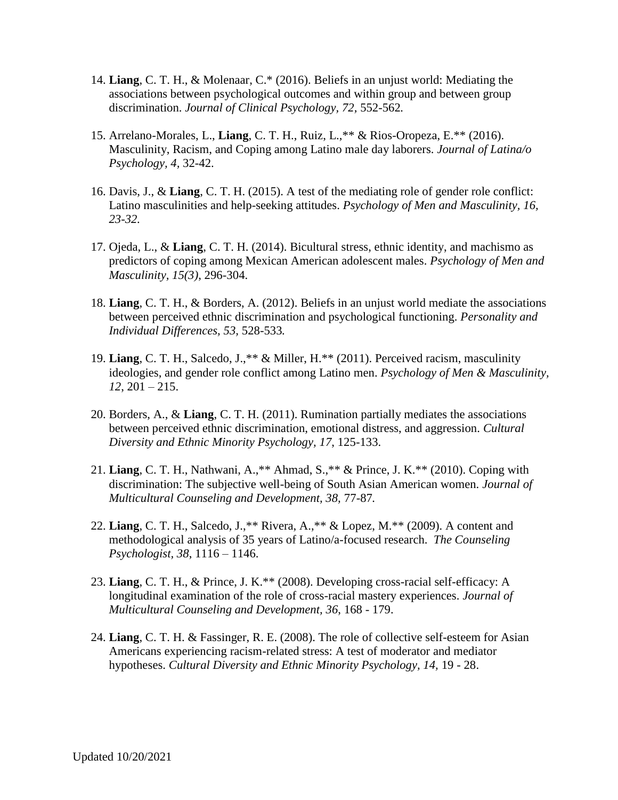- 14. **Liang**, C. T. H., & Molenaar, C.\* (2016). Beliefs in an unjust world: Mediating the associations between psychological outcomes and within group and between group discrimination. *Journal of Clinical Psychology, 72,* 552-562*.*
- 15. Arrelano-Morales, L., **Liang**, C. T. H., Ruiz, L.,\*\* & Rios-Oropeza, E.\*\* (2016). Masculinity, Racism, and Coping among Latino male day laborers. *Journal of Latina/o Psychology, 4,* 32-42.
- 16. Davis, J., & **Liang**, C. T. H. (2015). A test of the mediating role of gender role conflict: Latino masculinities and help-seeking attitudes. *Psychology of Men and Masculinity, 16, 23-32.*
- 17. Ojeda, L., & **Liang**, C. T. H. (2014). Bicultural stress, ethnic identity, and machismo as predictors of coping among Mexican American adolescent males. *Psychology of Men and Masculinity, 15(3)*, 296-304.
- 18. **Liang**, C. T. H., & Borders, A. (2012). Beliefs in an unjust world mediate the associations between perceived ethnic discrimination and psychological functioning. *Personality and Individual Differences, 53,* 528-533*.*
- 19. **Liang**, C. T. H., Salcedo, J.,\*\* & Miller, H.\*\* (2011). Perceived racism, masculinity ideologies, and gender role conflict among Latino men. *Psychology of Men & Masculinity, 12*, 201 – 215.
- 20. Borders, A., & **Liang**, C. T. H. (2011). Rumination partially mediates the associations between perceived ethnic discrimination, emotional distress, and aggression. *Cultural Diversity and Ethnic Minority Psychology, 17*, 125-133.
- 21. **Liang**, C. T. H., Nathwani, A.,\*\* Ahmad, S.,\*\* & Prince, J. K.\*\* (2010). Coping with discrimination: The subjective well-being of South Asian American women. *Journal of Multicultural Counseling and Development, 38,* 77-87*.*
- 22. **Liang**, C. T. H., Salcedo, J.,\*\* Rivera, A.,\*\* & Lopez, M.\*\* (2009). A content and methodological analysis of 35 years of Latino/a-focused research. *The Counseling Psychologist, 38*, 1116 – 1146.
- 23. **Liang**, C. T. H., & Prince, J. K.\*\* (2008). Developing cross-racial self-efficacy: A longitudinal examination of the role of cross-racial mastery experiences. *Journal of Multicultural Counseling and Development, 36*, 168 - 179.
- 24. **Liang**, C. T. H. & Fassinger, R. E. (2008). The role of collective self-esteem for Asian Americans experiencing racism-related stress: A test of moderator and mediator hypotheses. *Cultural Diversity and Ethnic Minority Psychology, 14,* 19 - 28.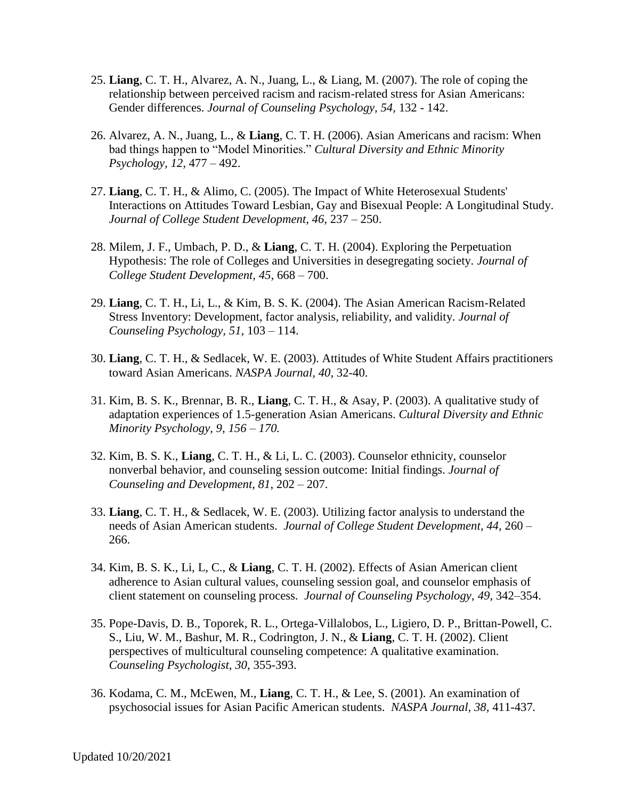- 25. **Liang**, C. T. H., Alvarez, A. N., Juang, L., & Liang, M. (2007). The role of coping the relationship between perceived racism and racism-related stress for Asian Americans: Gender differences. *Journal of Counseling Psychology, 54,* 132 - 142.
- 26. Alvarez, A. N., Juang, L., & **Liang**, C. T. H. (2006). Asian Americans and racism: When bad things happen to "Model Minorities." *Cultural Diversity and Ethnic Minority Psychology, 12,* 477 – 492.
- 27. **Liang**, C. T. H., & Alimo, C. (2005). The Impact of White Heterosexual Students' Interactions on Attitudes Toward Lesbian, Gay and Bisexual People: A Longitudinal Study. *Journal of College Student Development, 46,* 237 – 250.
- 28. Milem, J. F., Umbach, P. D., & **Liang**, C. T. H. (2004). Exploring the Perpetuation Hypothesis: The role of Colleges and Universities in desegregating society. *Journal of College Student Development, 45,* 668 – 700.
- 29. **Liang**, C. T. H., Li, L., & Kim, B. S. K. (2004). The Asian American Racism-Related Stress Inventory: Development, factor analysis, reliability, and validity. *Journal of Counseling Psychology, 51,* 103 – 114.
- 30. **Liang**, C. T. H., & Sedlacek, W. E. (2003). Attitudes of White Student Affairs practitioners toward Asian Americans. *NASPA Journal, 40,* 32-40.
- 31. Kim, B. S. K., Brennar, B. R., **Liang**, C. T. H., & Asay, P. (2003). A qualitative study of adaptation experiences of 1.5-generation Asian Americans. *Cultural Diversity and Ethnic Minority Psychology, 9, 156 – 170.*
- 32. Kim, B. S. K., **Liang**, C. T. H., & Li, L. C. (2003). Counselor ethnicity, counselor nonverbal behavior, and counseling session outcome: Initial findings. *Journal of Counseling and Development, 81*, 202 – 207.
- 33. **Liang**, C. T. H., & Sedlacek, W. E. (2003). Utilizing factor analysis to understand the needs of Asian American students. *Journal of College Student Development, 44,* 260 – 266.
- 34. Kim, B. S. K., Li, L, C., & **Liang**, C. T. H. (2002). Effects of Asian American client adherence to Asian cultural values, counseling session goal, and counselor emphasis of client statement on counseling process. *Journal of Counseling Psychology*, *49*, 342–354.
- 35. Pope-Davis, D. B., Toporek, R. L., Ortega-Villalobos, L., Ligiero, D. P., Brittan-Powell, C. S., Liu, W. M., Bashur, M. R., Codrington, J. N., & **Liang**, C. T. H. (2002). Client perspectives of multicultural counseling competence: A qualitative examination. *Counseling Psychologist, 30*, 355-393.
- 36. Kodama, C. M., McEwen, M., **Liang**, C. T. H., & Lee, S. (2001). An examination of psychosocial issues for Asian Pacific American students. *NASPA Journal, 38,* 411-437*.*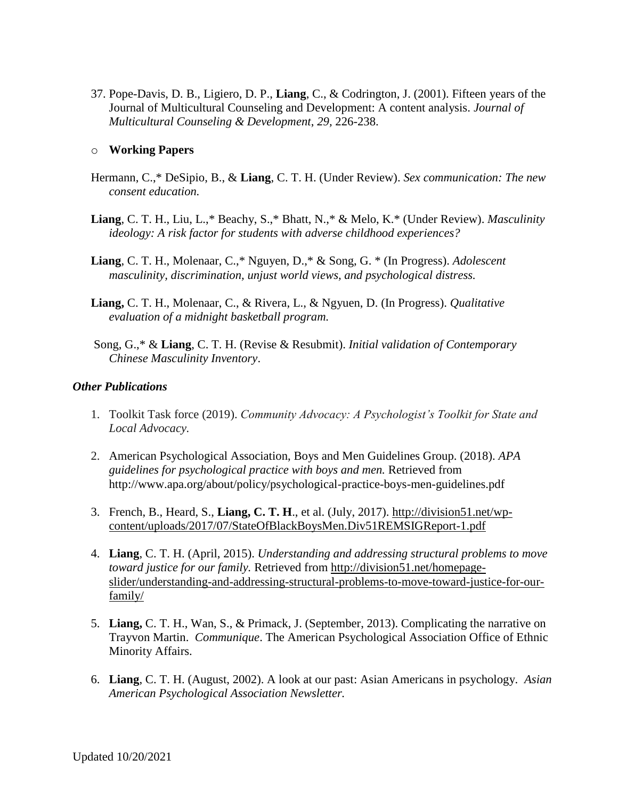37. Pope-Davis, D. B., Ligiero, D. P., **Liang**, C., & Codrington, J. (2001). Fifteen years of the Journal of Multicultural Counseling and Development: A content analysis. *Journal of Multicultural Counseling & Development*, *29,* 226-238.

#### o **Working Papers**

- Hermann, C.,\* DeSipio, B., & **Liang**, C. T. H. (Under Review). *Sex communication: The new consent education.*
- **Liang**, C. T. H., Liu, L.,\* Beachy, S.,\* Bhatt, N.,\* & Melo, K.\* (Under Review). *Masculinity ideology: A risk factor for students with adverse childhood experiences?*
- **Liang**, C. T. H., Molenaar, C.,\* Nguyen, D.,\* & Song, G. \* (In Progress). *Adolescent masculinity, discrimination, unjust world views, and psychological distress.*
- **Liang,** C. T. H., Molenaar, C., & Rivera, L., & Ngyuen, D. (In Progress). *Qualitative evaluation of a midnight basketball program.*
- Song, G.,\* & **Liang**, C. T. H. (Revise & Resubmit). *Initial validation of Contemporary Chinese Masculinity Inventory*.

#### *Other Publications*

- 1. Toolkit Task force (2019). *Community Advocacy: A Psychologist's Toolkit for State and Local Advocacy.*
- 2. American Psychological Association, Boys and Men Guidelines Group. (2018). *APA guidelines for psychological practice with boys and men.* Retrieved from http://www.apa.org/about/policy/psychological-practice-boys-men-guidelines.pdf
- 3. French, B., Heard, S., **Liang, C. T. H**., et al. (July, 2017). [http://division51.net/wp](http://division51.net/wp-content/uploads/2017/07/StateOfBlackBoysMen.Div51REMSIGReport-1.pdf)[content/uploads/2017/07/StateOfBlackBoysMen.Div51REMSIGReport-1.pdf](http://division51.net/wp-content/uploads/2017/07/StateOfBlackBoysMen.Div51REMSIGReport-1.pdf)
- 4. **Liang**, C. T. H. (April, 2015). *Understanding and addressing structural problems to move toward justice for our family.* Retrieved from [http://division51.net/homepage](http://division51.net/homepage-slider/understanding-and-addressing-structural-problems-to-move-toward-justice-for-our-family/)[slider/understanding-and-addressing-structural-problems-to-move-toward-justice-for-our](http://division51.net/homepage-slider/understanding-and-addressing-structural-problems-to-move-toward-justice-for-our-family/)[family/](http://division51.net/homepage-slider/understanding-and-addressing-structural-problems-to-move-toward-justice-for-our-family/)
- 5. **Liang,** C. T. H., Wan, S., & Primack, J. (September, 2013). Complicating the narrative on Trayvon Martin. *Communique*. The American Psychological Association Office of Ethnic Minority Affairs.
- 6. **Liang**, C. T. H. (August, 2002). A look at our past: Asian Americans in psychology. *Asian American Psychological Association Newsletter.*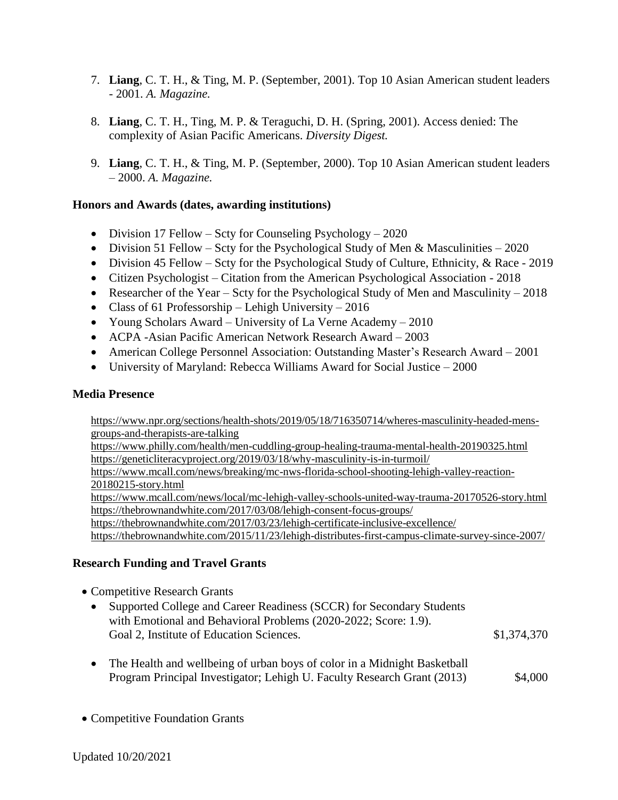- 7. **Liang**, C. T. H., & Ting, M. P. (September, 2001). Top 10 Asian American student leaders - 2001. *A. Magazine.*
- 8. **Liang**, C. T. H., Ting, M. P. & Teraguchi, D. H. (Spring, 2001). Access denied: The complexity of Asian Pacific Americans. *Diversity Digest.*
- 9. **Liang**, C. T. H., & Ting, M. P. (September, 2000). Top 10 Asian American student leaders – 2000. *A. Magazine.*

### **Honors and Awards (dates, awarding institutions)**

- Division 17 Fellow Scty for Counseling Psychology 2020
- Division 51 Fellow Scty for the Psychological Study of Men & Masculinities 2020
- Division 45 Fellow Scty for the Psychological Study of Culture, Ethnicity, & Race 2019
- Citizen Psychologist Citation from the American Psychological Association 2018
- Researcher of the Year Scty for the Psychological Study of Men and Masculinity 2018
- Class of 61 Professorship Lehigh University 2016
- Young Scholars Award University of La Verne Academy 2010
- ACPA -Asian Pacific American Network Research Award 2003
- American College Personnel Association: Outstanding Master's Research Award 2001
- University of Maryland: Rebecca Williams Award for Social Justice 2000

#### **Media Presence**

[https://www.npr.org/sections/health-shots/2019/05/18/716350714/wheres-masculinity-headed-mens](https://www.npr.org/sections/health-shots/2019/05/18/716350714/wheres-masculinity-headed-mens-groups-and-therapists-are-talking)[groups-and-therapists-are-talking](https://www.npr.org/sections/health-shots/2019/05/18/716350714/wheres-masculinity-headed-mens-groups-and-therapists-are-talking)

<https://www.philly.com/health/men-cuddling-group-healing-trauma-mental-health-20190325.html> <https://geneticliteracyproject.org/2019/03/18/why-masculinity-is-in-turmoil/>

[https://www.mcall.com/news/breaking/mc-nws-florida-school-shooting-lehigh-valley-reaction-](https://www.mcall.com/news/breaking/mc-nws-florida-school-shooting-lehigh-valley-reaction-20180215-story.html)[20180215-story.html](https://www.mcall.com/news/breaking/mc-nws-florida-school-shooting-lehigh-valley-reaction-20180215-story.html)

<https://www.mcall.com/news/local/mc-lehigh-valley-schools-united-way-trauma-20170526-story.html> <https://thebrownandwhite.com/2017/03/08/lehigh-consent-focus-groups/>

<https://thebrownandwhite.com/2017/03/23/lehigh-certificate-inclusive-excellence/>

<https://thebrownandwhite.com/2015/11/23/lehigh-distributes-first-campus-climate-survey-since-2007/>

#### **Research Funding and Travel Grants**

- Competitive Research Grants
	- Supported College and Career Readiness (SCCR) for Secondary Students with Emotional and Behavioral Problems (2020-2022; Score: 1.9). Goal 2, Institute of Education Sciences.  $$1,374,370$
	- The Health and wellbeing of urban boys of color in a Midnight Basketball Program Principal Investigator; Lehigh U. Faculty Research Grant (2013) \$4,000
- Competitive Foundation Grants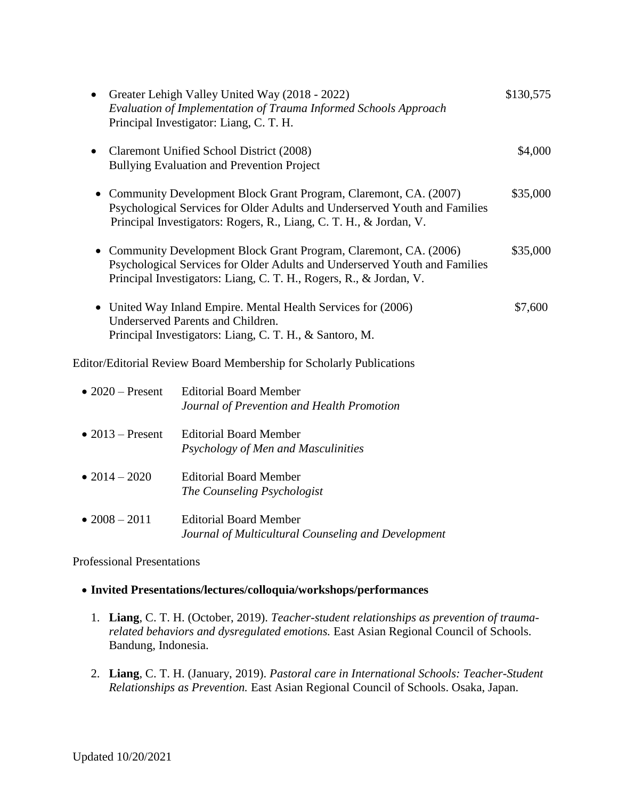| Greater Lehigh Valley United Way (2018 - 2022)<br>Evaluation of Implementation of Trauma Informed Schools Approach<br>Principal Investigator: Liang, C. T. H.                                                          | \$130,575 |
|------------------------------------------------------------------------------------------------------------------------------------------------------------------------------------------------------------------------|-----------|
| Claremont Unified School District (2008)<br><b>Bullying Evaluation and Prevention Project</b>                                                                                                                          | \$4,000   |
| • Community Development Block Grant Program, Claremont, CA. (2007)<br>Psychological Services for Older Adults and Underserved Youth and Families<br>Principal Investigators: Rogers, R., Liang, C. T. H., & Jordan, V. | \$35,000  |
| • Community Development Block Grant Program, Claremont, CA. (2006)<br>Psychological Services for Older Adults and Underserved Youth and Families<br>Principal Investigators: Liang, C. T. H., Rogers, R., & Jordan, V. | \$35,000  |
| • United Way Inland Empire. Mental Health Services for (2006)<br>Underserved Parents and Children.<br>Principal Investigators: Liang, C. T. H., & Santoro, M.                                                          | \$7,600   |
| <b>Editor/Editorial Review Board Membership for Scholarly Publications</b>                                                                                                                                             |           |

| $\bullet$ 2020 – Present | Editorial Board Member<br>Journal of Prevention and Health Promotion                 |
|--------------------------|--------------------------------------------------------------------------------------|
| $\bullet$ 2013 – Present | <b>Editorial Board Member</b><br>Psychology of Men and Masculinities                 |
| • $2014 - 2020$          | Editorial Board Member<br>The Counseling Psychologist                                |
| $\bullet$ 2008 – 2011    | <b>Editorial Board Member</b><br>Journal of Multicultural Counseling and Development |

Professional Presentations

# **Invited Presentations/lectures/colloquia/workshops/performances**

- 1. **Liang**, C. T. H. (October, 2019). *Teacher-student relationships as prevention of traumarelated behaviors and dysregulated emotions.* East Asian Regional Council of Schools. Bandung, Indonesia.
- 2. **Liang**, C. T. H. (January, 2019). *Pastoral care in International Schools: Teacher-Student Relationships as Prevention.* East Asian Regional Council of Schools. Osaka, Japan.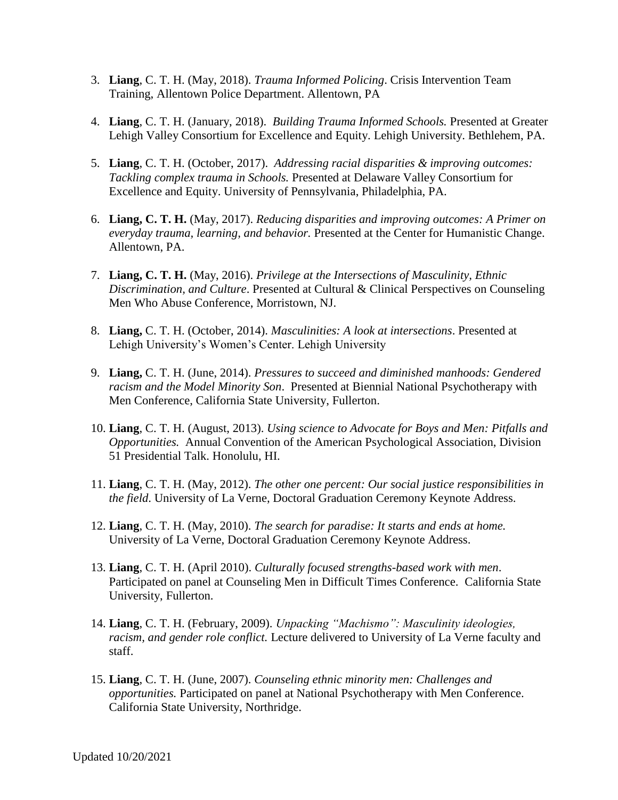- 3. **Liang**, C. T. H. (May, 2018). *Trauma Informed Policing*. Crisis Intervention Team Training, Allentown Police Department. Allentown, PA
- 4. **Liang**, C. T. H. (January, 2018). *Building Trauma Informed Schools.* Presented at Greater Lehigh Valley Consortium for Excellence and Equity. Lehigh University. Bethlehem, PA.
- 5. **Liang**, C. T. H. (October, 2017). *Addressing racial disparities & improving outcomes: Tackling complex trauma in Schools.* Presented at Delaware Valley Consortium for Excellence and Equity. University of Pennsylvania, Philadelphia, PA.
- 6. **Liang, C. T. H.** (May, 2017). *Reducing disparities and improving outcomes: A Primer on everyday trauma, learning, and behavior.* Presented at the Center for Humanistic Change. Allentown, PA.
- 7. **Liang, C. T. H.** (May, 2016). *Privilege at the Intersections of Masculinity, Ethnic Discrimination, and Culture*. Presented at Cultural & Clinical Perspectives on Counseling Men Who Abuse Conference, Morristown, NJ.
- 8. **Liang,** C. T. H. (October, 2014). *Masculinities: A look at intersections*. Presented at Lehigh University's Women's Center. Lehigh University
- 9. **Liang,** C. T. H. (June, 2014). *Pressures to succeed and diminished manhoods: Gendered racism and the Model Minority Son*. Presented at Biennial National Psychotherapy with Men Conference, California State University, Fullerton.
- 10. **Liang**, C. T. H. (August, 2013). *Using science to Advocate for Boys and Men: Pitfalls and Opportunities.* Annual Convention of the American Psychological Association, Division 51 Presidential Talk. Honolulu, HI.
- 11. **Liang**, C. T. H. (May, 2012). *The other one percent: Our social justice responsibilities in the field*. University of La Verne, Doctoral Graduation Ceremony Keynote Address.
- 12. **Liang**, C. T. H. (May, 2010). *The search for paradise: It starts and ends at home.* University of La Verne, Doctoral Graduation Ceremony Keynote Address.
- 13. **Liang**, C. T. H. (April 2010). *Culturally focused strengths-based work with men*. Participated on panel at Counseling Men in Difficult Times Conference. California State University, Fullerton.
- 14. **Liang**, C. T. H. (February, 2009). *Unpacking "Machismo": Masculinity ideologies, racism, and gender role conflict.* Lecture delivered to University of La Verne faculty and staff.
- 15. **Liang**, C. T. H. (June, 2007). *Counseling ethnic minority men: Challenges and opportunities.* Participated on panel at National Psychotherapy with Men Conference. California State University, Northridge.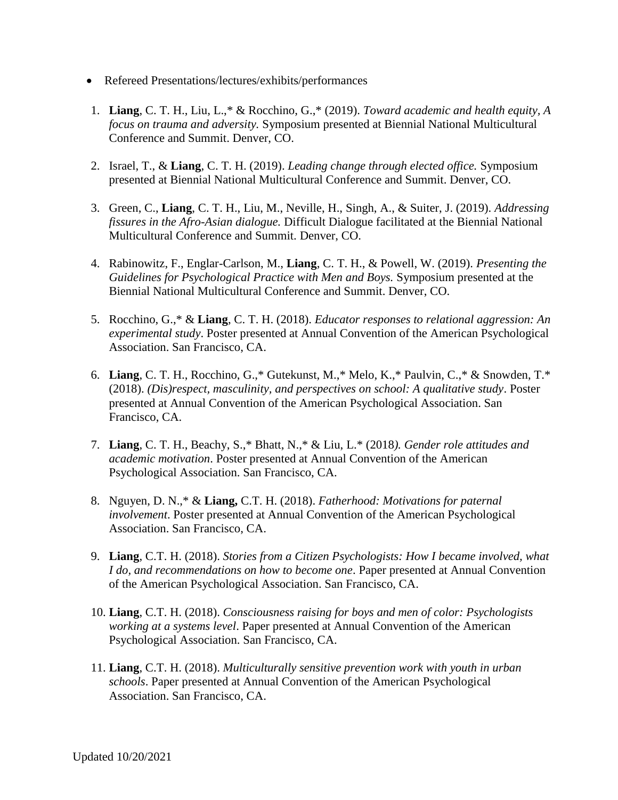- Refereed Presentations/lectures/exhibits/performances
- 1. **Liang**, C. T. H., Liu, L.,\* & Rocchino, G.,\* (2019). *Toward academic and health equity, A focus on trauma and adversity.* Symposium presented at Biennial National Multicultural Conference and Summit. Denver, CO.
- 2. Israel, T., & **Liang**, C. T. H. (2019). *Leading change through elected office.* Symposium presented at Biennial National Multicultural Conference and Summit. Denver, CO.
- 3. Green, C., **Liang**, C. T. H., Liu, M., Neville, H., Singh, A., & Suiter, J. (2019). *Addressing fissures in the Afro-Asian dialogue.* Difficult Dialogue facilitated at the Biennial National Multicultural Conference and Summit. Denver, CO.
- 4. Rabinowitz, F., Englar-Carlson, M., **Liang**, C. T. H., & Powell, W. (2019). *Presenting the Guidelines for Psychological Practice with Men and Boys.* Symposium presented at the Biennial National Multicultural Conference and Summit. Denver, CO.
- 5. Rocchino, G.,\* & **Liang**, C. T. H. (2018). *Educator responses to relational aggression: An experimental study*. Poster presented at Annual Convention of the American Psychological Association. San Francisco, CA.
- 6. **Liang**, C. T. H., Rocchino, G.,\* Gutekunst, M.,\* Melo, K.,\* Paulvin, C.,\* & Snowden, T.\* (2018). *(Dis)respect, masculinity, and perspectives on school: A qualitative study*. Poster presented at Annual Convention of the American Psychological Association. San Francisco, CA.
- 7. **Liang**, C. T. H., Beachy, S.,\* Bhatt, N.,\* & Liu, L.\* (2018*). Gender role attitudes and academic motivation*. Poster presented at Annual Convention of the American Psychological Association. San Francisco, CA.
- 8. Nguyen, D. N.,\* & **Liang,** C.T. H. (2018). *Fatherhood: Motivations for paternal involvement*. Poster presented at Annual Convention of the American Psychological Association. San Francisco, CA.
- 9. **Liang**, C.T. H. (2018). *Stories from a Citizen Psychologists: How I became involved, what I do, and recommendations on how to become one*. Paper presented at Annual Convention of the American Psychological Association. San Francisco, CA.
- 10. **Liang**, C.T. H. (2018). *Consciousness raising for boys and men of color: Psychologists working at a systems level*. Paper presented at Annual Convention of the American Psychological Association. San Francisco, CA.
- 11. **Liang**, C.T. H. (2018). *Multiculturally sensitive prevention work with youth in urban schools*. Paper presented at Annual Convention of the American Psychological Association. San Francisco, CA.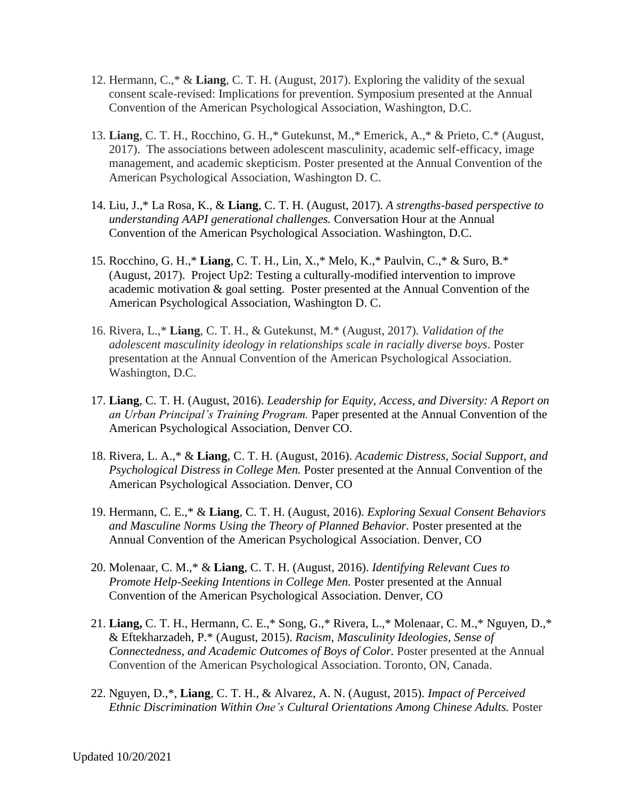- 12. Hermann, C.,\* & **Liang**, C. T. H. (August, 2017). Exploring the validity of the sexual consent scale-revised: Implications for prevention. Symposium presented at the Annual Convention of the American Psychological Association, Washington, D.C.
- 13. **Liang**, C. T. H., Rocchino, G. H.,\* Gutekunst, M.,\* Emerick, A.,\* & Prieto, C.\* (August, 2017). The associations between adolescent masculinity, academic self-efficacy, image management, and academic skepticism. Poster presented at the Annual Convention of the American Psychological Association, Washington D. C.
- 14. Liu, J.,\* La Rosa, K., & **Liang**, C. T. H. (August, 2017). *A strengths-based perspective to understanding AAPI generational challenges.* Conversation Hour at the Annual Convention of the American Psychological Association. Washington, D.C.
- 15. Rocchino, G. H.,\* **Liang**, C. T. H., Lin, X.,\* Melo, K.,\* Paulvin, C.,\* & Suro, B.\* (August, 2017). Project Up2: Testing a culturally-modified intervention to improve academic motivation & goal setting. Poster presented at the Annual Convention of the American Psychological Association, Washington D. C.
- 16. Rivera, L.,\* **Liang**, C. T. H., & Gutekunst, M.\* (August, 2017). *Validation of the adolescent masculinity ideology in relationships scale in racially diverse boys*. Poster presentation at the Annual Convention of the American Psychological Association. Washington, D.C.
- 17. **Liang**, C. T. H. (August, 2016). *Leadership for Equity, Access, and Diversity: A Report on an Urban Principal's Training Program.* Paper presented at the Annual Convention of the American Psychological Association, Denver CO.
- 18. Rivera, L. A.,\* & **Liang**, C. T. H. (August, 2016). *Academic Distress, Social Support, and Psychological Distress in College Men.* Poster presented at the Annual Convention of the American Psychological Association. Denver, CO
- 19. Hermann, C. E.,\* & **Liang**, C. T. H. (August, 2016). *Exploring Sexual Consent Behaviors and Masculine Norms Using the Theory of Planned Behavior.* Poster presented at the Annual Convention of the American Psychological Association. Denver, CO
- 20. Molenaar, C. M.,\* & **Liang**, C. T. H. (August, 2016). *Identifying Relevant Cues to Promote Help-Seeking Intentions in College Men.* Poster presented at the Annual Convention of the American Psychological Association. Denver, CO
- 21. **Liang,** C. T. H., Hermann, C. E.,\* Song, G.,\* Rivera, L.,\* Molenaar, C. M.,\* Nguyen, D.,\* & Eftekharzadeh, P.\* (August, 2015). *Racism, Masculinity Ideologies, Sense of Connectedness, and Academic Outcomes of Boys of Color.* Poster presented at the Annual Convention of the American Psychological Association. Toronto, ON, Canada.
- 22. Nguyen, D.,\*, **Liang**, C. T. H., & Alvarez, A. N. (August, 2015). *Impact of Perceived Ethnic Discrimination Within One's Cultural Orientations Among Chinese Adults.* Poster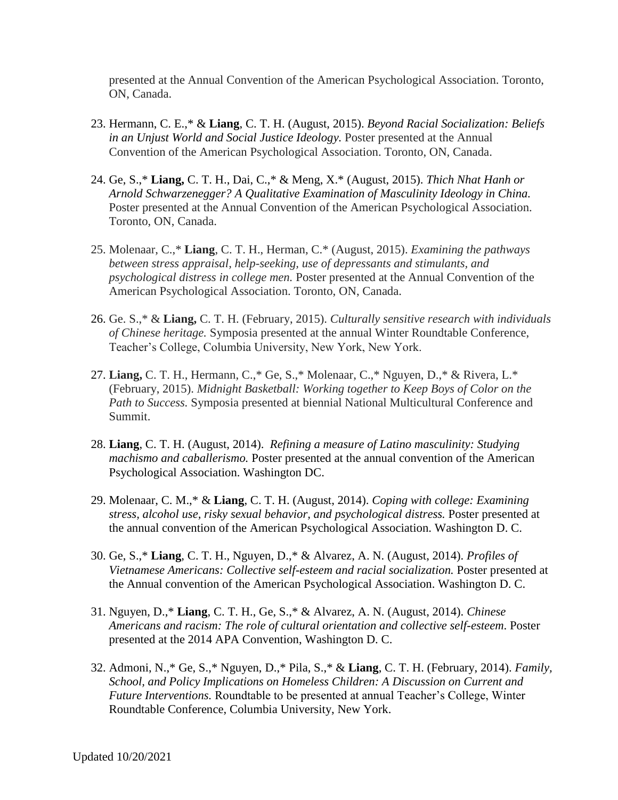presented at the Annual Convention of the American Psychological Association. Toronto, ON, Canada.

- 23. Hermann, C. E.,\* & **Liang**, C. T. H. (August, 2015). *Beyond Racial Socialization: Beliefs in an Unjust World and Social Justice Ideology.* Poster presented at the Annual Convention of the American Psychological Association. Toronto, ON, Canada.
- 24. Ge, S.,\* **Liang,** C. T. H., Dai, C.,\* & Meng, X.\* (August, 2015). *Thich Nhat Hanh or Arnold Schwarzenegger? A Qualitative Examination of Masculinity Ideology in China.* Poster presented at the Annual Convention of the American Psychological Association. Toronto, ON, Canada.
- 25. Molenaar, C.,\* **Liang**, C. T. H., Herman, C.\* (August, 2015). *Examining the pathways between stress appraisal, help-seeking, use of depressants and stimulants, and psychological distress in college men.* Poster presented at the Annual Convention of the American Psychological Association. Toronto, ON, Canada.
- 26. Ge. S.,\* & **Liang,** C. T. H. (February, 2015). *Culturally sensitive research with individuals of Chinese heritage.* Symposia presented at the annual Winter Roundtable Conference, Teacher's College, Columbia University, New York, New York.
- 27. **Liang,** C. T. H., Hermann, C.,\* Ge, S.,\* Molenaar, C.,\* Nguyen, D.,\* & Rivera, L.\* (February, 2015). *Midnight Basketball: Working together to Keep Boys of Color on the Path to Success.* Symposia presented at biennial National Multicultural Conference and Summit.
- 28. **Liang**, C. T. H. (August, 2014). *Refining a measure of Latino masculinity: Studying machismo and caballerismo.* Poster presented at the annual convention of the American Psychological Association. Washington DC.
- 29. Molenaar, C. M.,\* & **Liang**, C. T. H. (August, 2014). *Coping with college: Examining stress, alcohol use, risky sexual behavior, and psychological distress.* Poster presented at the annual convention of the American Psychological Association. Washington D. C.
- 30. Ge, S.,\* **Liang**, C. T. H., Nguyen, D.,\* & Alvarez, A. N. (August, 2014). *Profiles of Vietnamese Americans: Collective self-esteem and racial socialization.* Poster presented at the Annual convention of the American Psychological Association. Washington D. C.
- 31. Nguyen, D.,\* **Liang**, C. T. H., Ge, S.,\* & Alvarez, A. N. (August, 2014). *Chinese Americans and racism: The role of cultural orientation and collective self-esteem*. Poster presented at the 2014 APA Convention, Washington D. C.
- 32. Admoni, N.,\* Ge, S.,\* Nguyen, D.,\* Pila, S.,\* & **Liang**, C. T. H. (February, 2014). *Family, School, and Policy Implications on Homeless Children: A Discussion on Current and Future Interventions.* Roundtable to be presented at annual Teacher's College, Winter Roundtable Conference, Columbia University, New York.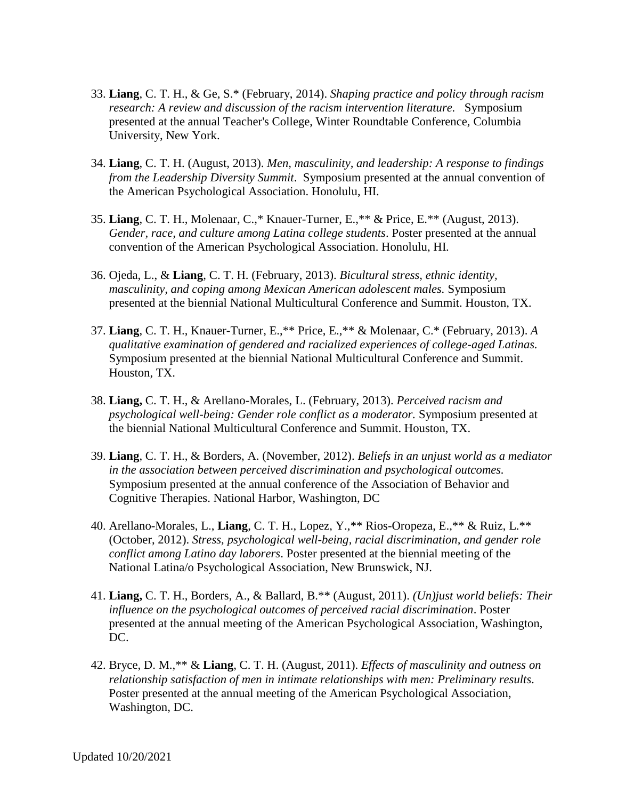- 33. **Liang**, C. T. H., & Ge, S.\* (February, 2014). *Shaping practice and policy through racism research: A review and discussion of the racism intervention literature.* Symposium presented at the annual Teacher's College, Winter Roundtable Conference, Columbia University, New York.
- 34. **Liang**, C. T. H. (August, 2013). *Men, masculinity, and leadership: A response to findings from the Leadership Diversity Summit*. Symposium presented at the annual convention of the American Psychological Association. Honolulu, HI.
- 35. **Liang**, C. T. H., Molenaar, C.,\* Knauer-Turner, E.,\*\* & Price, E.\*\* (August, 2013). *Gender, race, and culture among Latina college students*. Poster presented at the annual convention of the American Psychological Association. Honolulu, HI.
- 36. Ojeda, L., & **Liang**, C. T. H. (February, 2013). *Bicultural stress, ethnic identity, masculinity, and coping among Mexican American adolescent males.* Symposium presented at the biennial National Multicultural Conference and Summit. Houston, TX.
- 37. **Liang**, C. T. H., Knauer-Turner, E.,\*\* Price, E.,\*\* & Molenaar, C.\* (February, 2013). *A qualitative examination of gendered and racialized experiences of college-aged Latinas.* Symposium presented at the biennial National Multicultural Conference and Summit. Houston, TX.
- 38. **Liang,** C. T. H., & Arellano-Morales, L. (February, 2013). *Perceived racism and psychological well-being: Gender role conflict as a moderator.* Symposium presented at the biennial National Multicultural Conference and Summit. Houston, TX.
- 39. **Liang**, C. T. H., & Borders, A. (November, 2012). *Beliefs in an unjust world as a mediator in the association between perceived discrimination and psychological outcomes.*  Symposium presented at the annual conference of the Association of Behavior and Cognitive Therapies. National Harbor, Washington, DC
- 40. Arellano-Morales, L., **Liang**, C. T. H., Lopez, Y.,\*\* Rios-Oropeza, E.,\*\* & Ruiz, L.\*\* (October, 2012). *Stress, psychological well-being, racial discrimination, and gender role conflict among Latino day laborers*. Poster presented at the biennial meeting of the National Latina/o Psychological Association, New Brunswick, NJ.
- 41. **Liang,** C. T. H., Borders, A., & Ballard, B.\*\* (August, 2011). *(Un)just world beliefs: Their influence on the psychological outcomes of perceived racial discrimination*. Poster presented at the annual meeting of the American Psychological Association, Washington, DC.
- 42. Bryce, D. M.,\*\* & **Liang**, C. T. H. (August, 2011). *Effects of masculinity and outness on relationship satisfaction of men in intimate relationships with men: Preliminary results.* Poster presented at the annual meeting of the American Psychological Association, Washington, DC.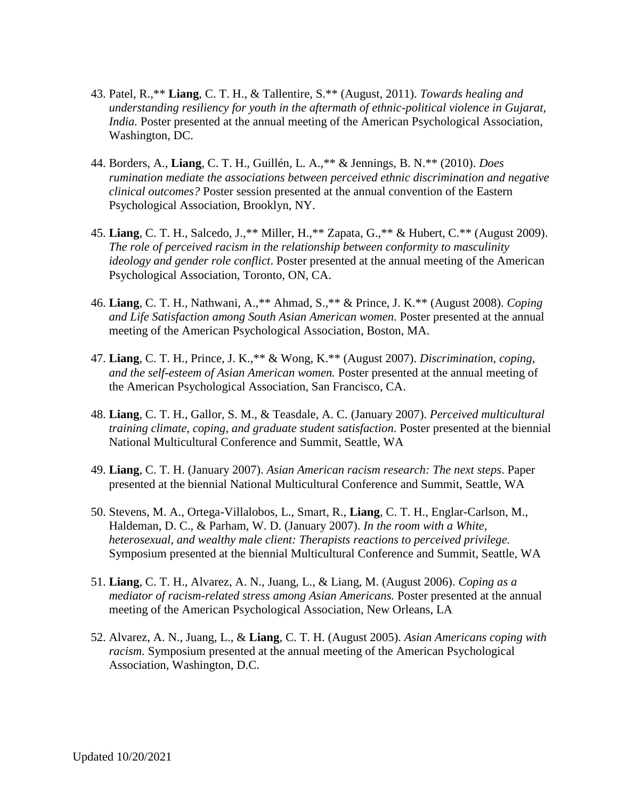- 43. Patel, R.,\*\* **Liang**, C. T. H., & Tallentire, S.\*\* (August, 2011). *Towards healing and understanding resiliency for youth in the aftermath of ethnic-political violence in Gujarat, India.* Poster presented at the annual meeting of the American Psychological Association, Washington, DC.
- 44. Borders, A., **Liang**, C. T. H., Guillén, L. A.,\*\* & Jennings, B. N.\*\* (2010). *Does rumination mediate the associations between perceived ethnic discrimination and negative clinical outcomes?* Poster session presented at the annual convention of the Eastern Psychological Association, Brooklyn, NY.
- 45. **Liang**, C. T. H., Salcedo, J.,\*\* Miller, H.,\*\* Zapata, G.,\*\* & Hubert, C.\*\* (August 2009). *The role of perceived racism in the relationship between conformity to masculinity ideology and gender role conflict*. Poster presented at the annual meeting of the American Psychological Association, Toronto, ON, CA.
- 46. **Liang**, C. T. H., Nathwani, A.,\*\* Ahmad, S.,\*\* & Prince, J. K.\*\* (August 2008). *Coping and Life Satisfaction among South Asian American women*. Poster presented at the annual meeting of the American Psychological Association, Boston, MA.
- 47. **Liang**, C. T. H., Prince, J. K.,\*\* & Wong, K.\*\* (August 2007). *Discrimination, coping, and the self-esteem of Asian American women.* Poster presented at the annual meeting of the American Psychological Association, San Francisco, CA.
- 48. **Liang**, C. T. H., Gallor, S. M., & Teasdale, A. C. (January 2007). *Perceived multicultural training climate, coping, and graduate student satisfaction*. Poster presented at the biennial National Multicultural Conference and Summit, Seattle, WA
- 49. **Liang**, C. T. H. (January 2007). *Asian American racism research: The next steps*. Paper presented at the biennial National Multicultural Conference and Summit, Seattle, WA
- 50. Stevens, M. A., Ortega-Villalobos, L., Smart, R., **Liang**, C. T. H., Englar-Carlson, M., Haldeman, D. C., & Parham, W. D. (January 2007). *In the room with a White, heterosexual, and wealthy male client: Therapists reactions to perceived privilege.* Symposium presented at the biennial Multicultural Conference and Summit, Seattle, WA
- 51. **Liang**, C. T. H., Alvarez, A. N., Juang, L., & Liang, M. (August 2006). *Coping as a mediator of racism-related stress among Asian Americans.* Poster presented at the annual meeting of the American Psychological Association, New Orleans, LA
- 52. Alvarez, A. N., Juang, L., & **Liang**, C. T. H. (August 2005). *Asian Americans coping with racism.* Symposium presented at the annual meeting of the American Psychological Association, Washington, D.C.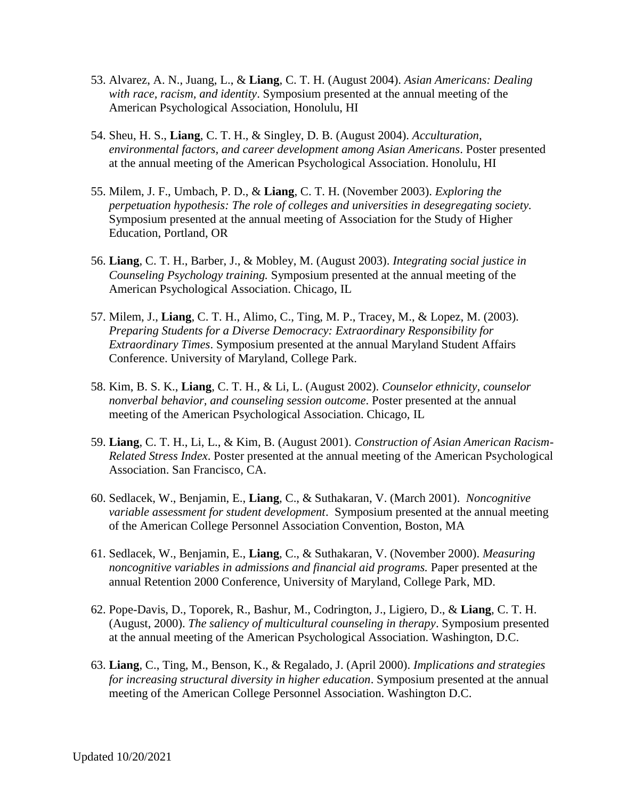- 53. Alvarez, A. N., Juang, L., & **Liang**, C. T. H. (August 2004). *Asian Americans: Dealing with race, racism, and identity*. Symposium presented at the annual meeting of the American Psychological Association, Honolulu, HI
- 54. Sheu, H. S., **Liang**, C. T. H., & Singley, D. B. (August 2004). *Acculturation, environmental factors, and career development among Asian Americans*. Poster presented at the annual meeting of the American Psychological Association. Honolulu, HI
- 55. Milem, J. F., Umbach, P. D., & **Liang**, C. T. H. (November 2003). *Exploring the perpetuation hypothesis: The role of colleges and universities in desegregating society.* Symposium presented at the annual meeting of Association for the Study of Higher Education, Portland, OR
- 56. **Liang**, C. T. H., Barber, J., & Mobley, M. (August 2003). *Integrating social justice in Counseling Psychology training.* Symposium presented at the annual meeting of the American Psychological Association. Chicago, IL
- 57. Milem, J., **Liang**, C. T. H., Alimo, C., Ting, M. P., Tracey, M., & Lopez, M. (2003). *Preparing Students for a Diverse Democracy: Extraordinary Responsibility for Extraordinary Times*. Symposium presented at the annual Maryland Student Affairs Conference. University of Maryland, College Park.
- 58. Kim, B. S. K., **Liang**, C. T. H., & Li, L. (August 2002). *Counselor ethnicity, counselor nonverbal behavior, and counseling session outcome*. Poster presented at the annual meeting of the American Psychological Association. Chicago, IL
- 59. **Liang**, C. T. H., Li, L., & Kim, B. (August 2001). *Construction of Asian American Racism-Related Stress Index*. Poster presented at the annual meeting of the American Psychological Association. San Francisco, CA.
- 60. Sedlacek, W., Benjamin, E., **Liang**, C., & Suthakaran, V. (March 2001). *Noncognitive variable assessment for student development*. Symposium presented at the annual meeting of the American College Personnel Association Convention, Boston, MA
- 61. Sedlacek, W., Benjamin, E., **Liang**, C., & Suthakaran, V. (November 2000). *Measuring noncognitive variables in admissions and financial aid programs.* Paper presented at the annual Retention 2000 Conference, University of Maryland, College Park, MD.
- 62. Pope-Davis, D., Toporek, R., Bashur, M., Codrington, J., Ligiero, D., & **Liang**, C. T. H. (August, 2000). *The saliency of multicultural counseling in therapy*. Symposium presented at the annual meeting of the American Psychological Association. Washington, D.C.
- 63. **Liang**, C., Ting, M., Benson, K., & Regalado, J. (April 2000). *Implications and strategies for increasing structural diversity in higher education*. Symposium presented at the annual meeting of the American College Personnel Association. Washington D.C.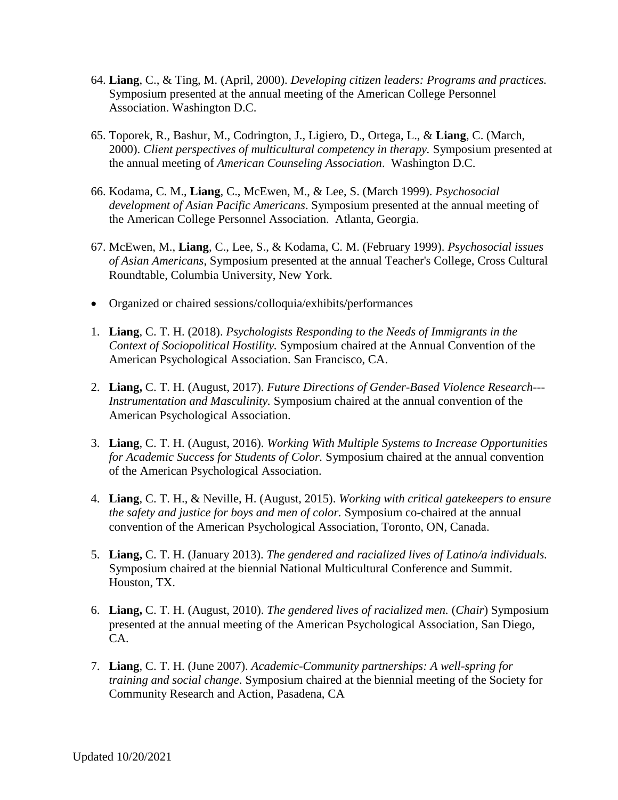- 64. **Liang**, C., & Ting, M. (April, 2000). *Developing citizen leaders: Programs and practices.*  Symposium presented at the annual meeting of the American College Personnel Association. Washington D.C.
- 65. Toporek, R., Bashur, M., Codrington, J., Ligiero, D., Ortega, L., & **Liang**, C. (March, 2000). *Client perspectives of multicultural competency in therapy.* Symposium presented at the annual meeting of *American Counseling Association*. Washington D.C.
- 66. Kodama, C. M., **Liang**, C., McEwen, M., & Lee, S. (March 1999). *Psychosocial development of Asian Pacific Americans*. Symposium presented at the annual meeting of the American College Personnel Association. Atlanta, Georgia.
- 67. McEwen, M., **Liang**, C., Lee, S., & Kodama, C. M. (February 1999). *Psychosocial issues of Asian Americans*, Symposium presented at the annual Teacher's College, Cross Cultural Roundtable, Columbia University, New York.
- Organized or chaired sessions/colloquia/exhibits/performances
- 1. **Liang**, C. T. H. (2018). *Psychologists Responding to the Needs of Immigrants in the Context of Sociopolitical Hostility.* Symposium chaired at the Annual Convention of the American Psychological Association. San Francisco, CA.
- 2. **Liang,** C. T. H. (August, 2017). *Future Directions of Gender-Based Violence Research--- Instrumentation and Masculinity.* Symposium chaired at the annual convention of the American Psychological Association.
- 3. **Liang**, C. T. H. (August, 2016). *Working With Multiple Systems to Increase Opportunities for Academic Success for Students of Color.* Symposium chaired at the annual convention of the American Psychological Association.
- 4. **Liang**, C. T. H., & Neville, H. (August, 2015). *Working with critical gatekeepers to ensure the safety and justice for boys and men of color.* Symposium co-chaired at the annual convention of the American Psychological Association, Toronto, ON, Canada.
- 5. **Liang,** C. T. H. (January 2013). *The gendered and racialized lives of Latino/a individuals.*  Symposium chaired at the biennial National Multicultural Conference and Summit. Houston, TX.
- 6. **Liang,** C. T. H. (August, 2010). *The gendered lives of racialized men.* (*Chair*) Symposium presented at the annual meeting of the American Psychological Association, San Diego, CA.
- 7. **Liang**, C. T. H. (June 2007). *Academic-Community partnerships: A well-spring for training and social change*. Symposium chaired at the biennial meeting of the Society for Community Research and Action, Pasadena, CA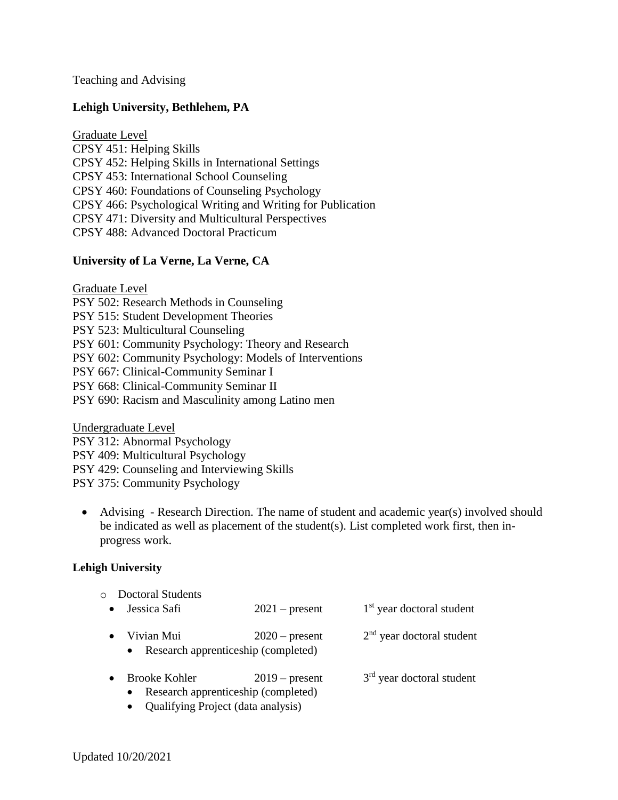Teaching and Advising

## **Lehigh University, Bethlehem, PA**

Graduate Level

CPSY 451: Helping Skills CPSY 452: Helping Skills in International Settings CPSY 453: International School Counseling CPSY 460: Foundations of Counseling Psychology CPSY 466: Psychological Writing and Writing for Publication CPSY 471: Diversity and Multicultural Perspectives CPSY 488: Advanced Doctoral Practicum

# **University of La Verne, La Verne, CA**

Graduate Level PSY 502: Research Methods in Counseling PSY 515: Student Development Theories PSY 523: Multicultural Counseling PSY 601: Community Psychology: Theory and Research PSY 602: Community Psychology: Models of Interventions PSY 667: Clinical-Community Seminar I PSY 668: Clinical-Community Seminar II PSY 690: Racism and Masculinity among Latino men

Undergraduate Level PSY 312: Abnormal Psychology PSY 409: Multicultural Psychology PSY 429: Counseling and Interviewing Skills PSY 375: Community Psychology

• Advising - Research Direction. The name of student and academic year(s) involved should be indicated as well as placement of the student(s). List completed work first, then inprogress work.

#### **Lehigh University**

| $\circ$ | <b>Doctoral Students</b>                                                 |                  |                                       |
|---------|--------------------------------------------------------------------------|------------------|---------------------------------------|
|         | Jessica Safi                                                             | $2021$ – present | 1 <sup>st</sup> year doctoral student |
|         | Vivian Mui<br>Research apprenticeship (completed)<br>$\bullet$           | $2020$ – present | $2nd$ year doctoral student           |
|         | <b>Brooke Kohler</b><br>Research apprenticeship (completed)<br>$\bullet$ | $2019$ – present | $3rd$ year doctoral student           |

• Qualifying Project (data analysis)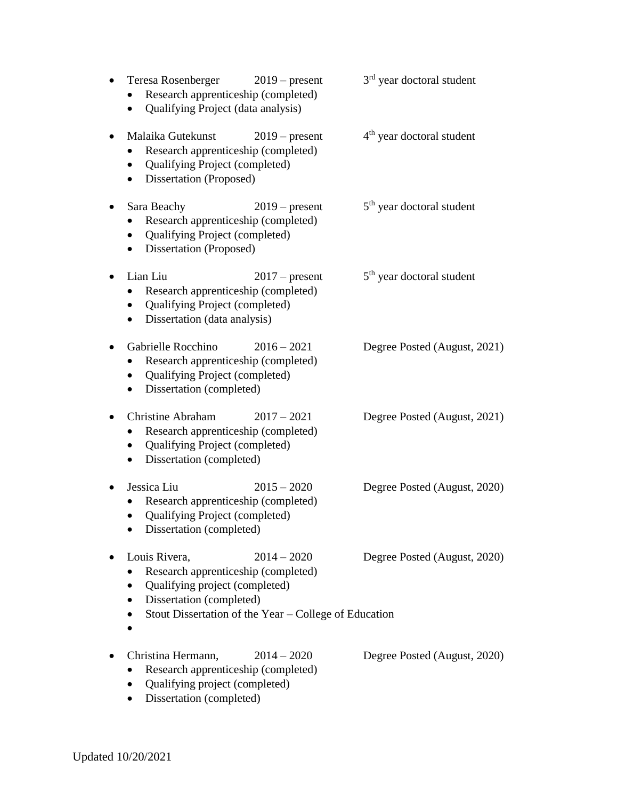| Teresa Rosenberger<br>Research apprenticeship (completed)<br>Qualifying Project (data analysis)                                            | $2019$ – present                                                       | 3 <sup>rd</sup> year doctoral student |
|--------------------------------------------------------------------------------------------------------------------------------------------|------------------------------------------------------------------------|---------------------------------------|
| Malaika Gutekunst<br>Research apprenticeship (completed)<br>Qualifying Project (completed)<br>$\bullet$<br>Dissertation (Proposed)         | $2019$ – present                                                       | 4 <sup>th</sup> year doctoral student |
| Sara Beachy<br>Research apprenticeship (completed)<br>Qualifying Project (completed)<br>٠<br>Dissertation (Proposed)<br>$\bullet$          | $2019$ – present                                                       | 5 <sup>th</sup> year doctoral student |
| Lian Liu<br>Research apprenticeship (completed)<br>Qualifying Project (completed)<br>Dissertation (data analysis)<br>$\bullet$             | $2017$ – present                                                       | 5 <sup>th</sup> year doctoral student |
| Gabrielle Rocchino<br>Research apprenticeship (completed)<br>Qualifying Project (completed)<br>Dissertation (completed)<br>$\bullet$       | $2016 - 2021$                                                          | Degree Posted (August, 2021)          |
| <b>Christine Abraham</b><br>Research apprenticeship (completed)<br>Qualifying Project (completed)<br>$\bullet$<br>Dissertation (completed) | $2017 - 2021$                                                          | Degree Posted (August, 2021)          |
| Jessica Liu<br>Research apprenticeship (completed)<br>Qualifying Project (completed)<br>Dissertation (completed)                           | $2015 - 2020$                                                          | Degree Posted (August, 2020)          |
| Louis Rivera,<br>Research apprenticeship (completed)<br>Qualifying project (completed)<br>Dissertation (completed)                         | $2014 - 2020$<br>Stout Dissertation of the Year – College of Education | Degree Posted (August, 2020)          |
| Christina Hermann,<br>Research apprenticeship (completed)<br>Qualifying project (completed)<br>Dissertation (completed)                    | $2014 - 2020$                                                          | Degree Posted (August, 2020)          |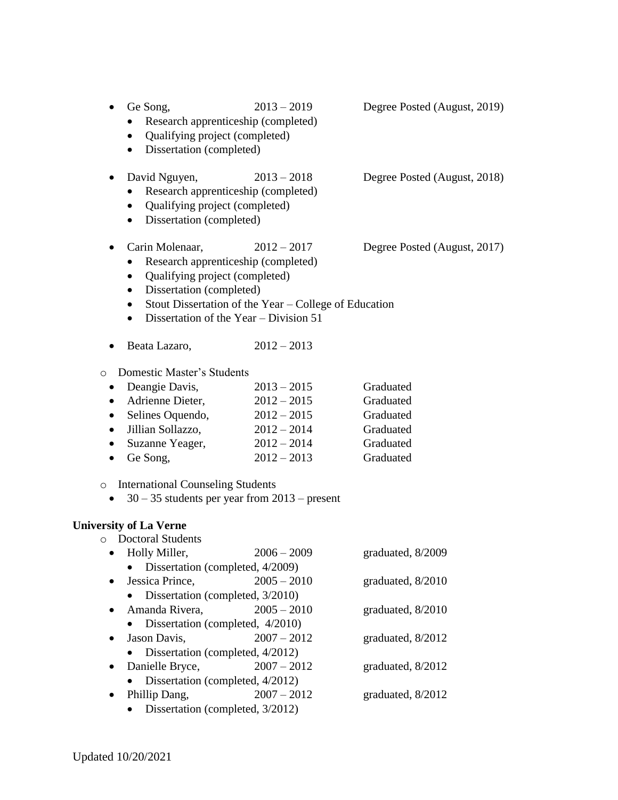| Ge Song,<br>Qualifying project (completed)<br>$\bullet$<br>Dissertation (completed)<br>$\bullet$                                                                                                                                                                                                                    | $2013 - 2019$<br>Research apprenticeship (completed)                                                                                                    | Degree Posted (August, 2019)                                               |
|---------------------------------------------------------------------------------------------------------------------------------------------------------------------------------------------------------------------------------------------------------------------------------------------------------------------|---------------------------------------------------------------------------------------------------------------------------------------------------------|----------------------------------------------------------------------------|
| David Nguyen,<br>Qualifying project (completed)<br>$\bullet$<br>Dissertation (completed)<br>$\bullet$                                                                                                                                                                                                               | $2013 - 2018$<br>Research apprenticeship (completed)                                                                                                    | Degree Posted (August, 2018)                                               |
| Carin Molenaar,<br>Qualifying project (completed)<br>$\bullet$<br>Dissertation (completed)<br>$\bullet$<br>$\bullet$<br>$\bullet$                                                                                                                                                                                   | $2012 - 2017$<br>Research apprenticeship (completed)<br>Stout Dissertation of the Year - College of Education<br>Dissertation of the Year – Division 51 | Degree Posted (August, 2017)                                               |
| Beata Lazaro,                                                                                                                                                                                                                                                                                                       | $2012 - 2013$                                                                                                                                           |                                                                            |
| Domestic Master's Students<br>$\circ$<br>Deangie Davis,<br>Adrienne Dieter,<br>$\bullet$<br>Selines Oquendo,<br>$\bullet$<br>Jillian Sollazzo,<br>Suzanne Yeager,<br>$\bullet$<br>Ge Song,<br>$\bullet$<br><b>International Counseling Students</b><br>$\circ$<br>$30 - 35$ students per year from $2013$ – present | $2013 - 2015$<br>$2012 - 2015$<br>$2012 - 2015$<br>$2012 - 2014$<br>$2012 - 2014$<br>$2012 - 2013$                                                      | Graduated<br>Graduated<br>Graduated<br>Graduated<br>Graduated<br>Graduated |
| <b>University of La Verne</b><br><b>Doctoral Students</b><br>$\circ$<br>• Holly Miller,<br>Dissertation (completed, 4/2009)<br>Jessica Prince,<br>Dissertation (completed, 3/2010)<br>Amanda Rivera,<br>$\bullet$                                                                                                   | $2006 - 2009$<br>$2005 - 2010$<br>$2005 - 2010$                                                                                                         | graduated, 8/2009<br>graduated, 8/2010<br>graduated, 8/2010                |
| Dissertation (completed, 4/2010)<br>Jason Davis,<br>Dissertation (completed, 4/2012)<br>Danielle Bryce,<br>Dissertation (completed, 4/2012)                                                                                                                                                                         | $2007 - 2012$<br>$2007 - 2012$                                                                                                                          | graduated, 8/2012<br>graduated, 8/2012                                     |
| Phillip Dang,<br>Dissertation (completed, 3/2012)                                                                                                                                                                                                                                                                   | $2007 - 2012$                                                                                                                                           | graduated, 8/2012                                                          |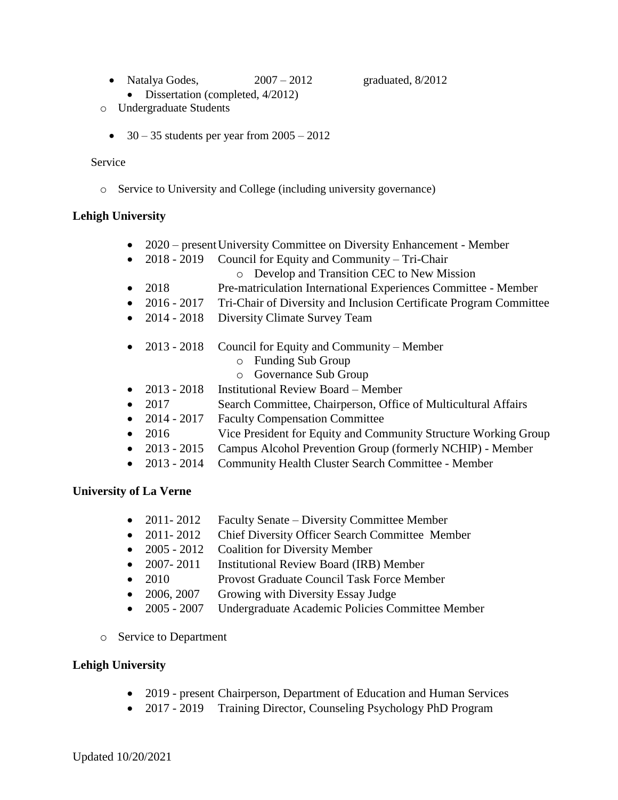• Natalya Godes, 2007 – 2012 graduated, 8/2012

- Dissertation (completed,  $4/2012$ )
- o Undergraduate Students
	- $\bullet$  30 35 students per year from 2005 2012

#### Service

o Service to University and College (including university governance)

# **Lehigh University**

- 2020 present University Committee on Diversity Enhancement Member
- 2018 2019 Council for Equity and Community Tri-Chair
	- o Develop and Transition CEC to New Mission
- 2018 Pre-matriculation International Experiences Committee Member
- 2016 2017 Tri-Chair of Diversity and Inclusion Certificate Program Committee
- 2014 2018 Diversity Climate Survey Team
- 2013 2018 Council for Equity and Community Member
	- o Funding Sub Group
	- o Governance Sub Group
- 2013 2018 Institutional Review Board Member
- 2017 Search Committee, Chairperson, Office of Multicultural Affairs
- 2014 2017 Faculty Compensation Committee
- 2016 Vice President for Equity and Community Structure Working Group
- 2013 2015 Campus Alcohol Prevention Group (formerly NCHIP) Member
- 2013 2014 Community Health Cluster Search Committee Member

# **University of La Verne**

- 2011-2012 Faculty Senate Diversity Committee Member
- 2011-2012 Chief Diversity Officer Search Committee Member
- 2005 2012 Coalition for Diversity Member
- 2007-2011 Institutional Review Board (IRB) Member
- 2010 Provost Graduate Council Task Force Member
- 2006, 2007 Growing with Diversity Essay Judge
- 2005 2007 Undergraduate Academic Policies Committee Member
- o Service to Department

# **Lehigh University**

- 2019 present Chairperson, Department of Education and Human Services
- 2017 2019 Training Director, Counseling Psychology PhD Program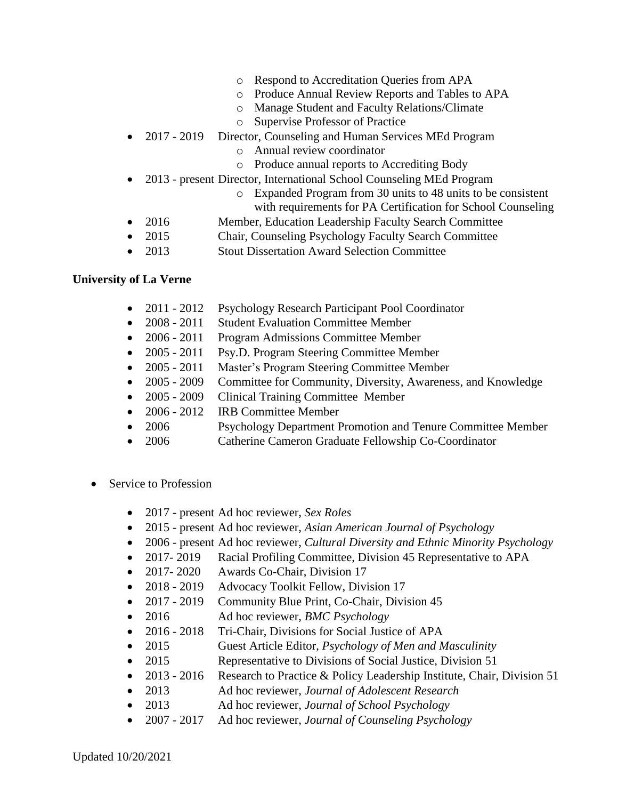- o Respond to Accreditation Queries from APA
- o Produce Annual Review Reports and Tables to APA
- o Manage Student and Faculty Relations/Climate
- o Supervise Professor of Practice
- 2017 2019 Director, Counseling and Human Services MEd Program
	- o Annual review coordinator
	- o Produce annual reports to Accrediting Body
- 2013 present Director, International School Counseling MEd Program
	- o Expanded Program from 30 units to 48 units to be consistent with requirements for PA Certification for School Counseling
- 2016 Member, Education Leadership Faculty Search Committee
- 2015 Chair, Counseling Psychology Faculty Search Committee
- 2013 Stout Dissertation Award Selection Committee

#### **University of La Verne**

- 2011 2012 Psychology Research Participant Pool Coordinator
- 2008 2011 Student Evaluation Committee Member
- 2006 2011 Program Admissions Committee Member
- 2005 2011 Psy.D. Program Steering Committee Member
- 2005 2011 Master's Program Steering Committee Member
- 2005 2009 Committee for Community, Diversity, Awareness, and Knowledge
- 2005 2009 Clinical Training Committee Member
- 2006 2012 IRB Committee Member
- 2006 Psychology Department Promotion and Tenure Committee Member
- 2006 Catherine Cameron Graduate Fellowship Co-Coordinator
- Service to Profession
	- 2017 *-* present Ad hoc reviewer, *Sex Roles*
	- 2015 present Ad hoc reviewer, *Asian American Journal of Psychology*
	- 2006 present Ad hoc reviewer, *Cultural Diversity and Ethnic Minority Psychology*
	- 2017-2019 Racial Profiling Committee, Division 45 Representative to APA
	- 2017- 2020 Awards Co-Chair, Division 17
	- 2018 2019 Advocacy Toolkit Fellow, Division 17
	- 2017 2019 Community Blue Print, Co-Chair, Division 45
	- 2016 Ad hoc reviewer, *BMC Psychology*
	- 2016 *-* 2018 Tri-Chair, Divisions for Social Justice of APA
	- 2015 Guest Article Editor, *Psychology of Men and Masculinity*
	- 2015 Representative to Divisions of Social Justice, Division 51
	- 2013 2016 Research to Practice & Policy Leadership Institute, Chair, Division 51
	- 2013 Ad hoc reviewer, *Journal of Adolescent Research*
	- 2013 Ad hoc reviewer, *Journal of School Psychology*
	- 2007 2017 Ad hoc reviewer, *Journal of Counseling Psychology*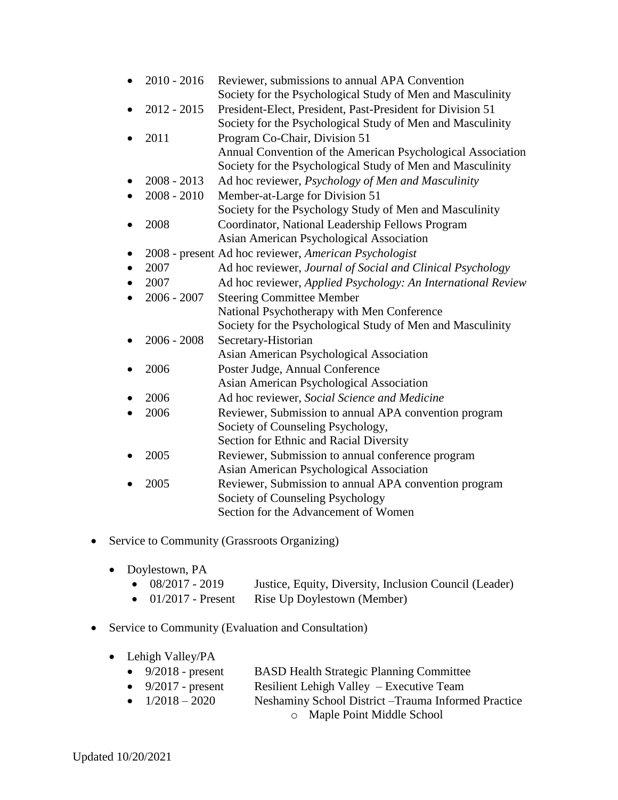| $2010 - 2016$ | Reviewer, submissions to annual APA Convention               |
|---------------|--------------------------------------------------------------|
|               | Society for the Psychological Study of Men and Masculinity   |
| $2012 - 2015$ | President-Elect, President, Past-President for Division 51   |
|               | Society for the Psychological Study of Men and Masculinity   |
| 2011          | Program Co-Chair, Division 51                                |
|               | Annual Convention of the American Psychological Association  |
|               | Society for the Psychological Study of Men and Masculinity   |
| $2008 - 2013$ | Ad hoc reviewer, Psychology of Men and Masculinity           |
| $2008 - 2010$ | Member-at-Large for Division 51                              |
|               | Society for the Psychology Study of Men and Masculinity      |
| 2008          | Coordinator, National Leadership Fellows Program             |
|               | Asian American Psychological Association                     |
|               | 2008 - present Ad hoc reviewer, American Psychologist        |
| 2007          | Ad hoc reviewer, Journal of Social and Clinical Psychology   |
| 2007          | Ad hoc reviewer, Applied Psychology: An International Review |
| $2006 - 2007$ | <b>Steering Committee Member</b>                             |
|               | National Psychotherapy with Men Conference                   |
|               | Society for the Psychological Study of Men and Masculinity   |
| $2006 - 2008$ | Secretary-Historian                                          |
|               | Asian American Psychological Association                     |
| 2006          | Poster Judge, Annual Conference                              |
|               | Asian American Psychological Association                     |
| 2006          | Ad hoc reviewer, Social Science and Medicine                 |
| 2006          | Reviewer, Submission to annual APA convention program        |
|               | Society of Counseling Psychology,                            |
|               | Section for Ethnic and Racial Diversity                      |
| 2005          | Reviewer, Submission to annual conference program            |
|               | Asian American Psychological Association                     |
| 2005          | Reviewer, Submission to annual APA convention program        |
|               | Society of Counseling Psychology                             |
|               | Section for the Advancement of Women                         |

- Service to Community (Grassroots Organizing)
	- Doylestown, PA
		- 08/2017 2019 Justice, Equity, Diversity, Inclusion Council (Leader)
		- 01/2017 Present Rise Up Doylestown (Member)
- Service to Community (Evaluation and Consultation)
	- Lehigh Valley/PA
		- 9/2018 present BASD Health Strategic Planning Committee
		- 9/2017 present Resilient Lehigh Valley Executive Team
		- $1/2018 2020$  Neshaminy School District –Trauma Informed Practice
			- o Maple Point Middle School